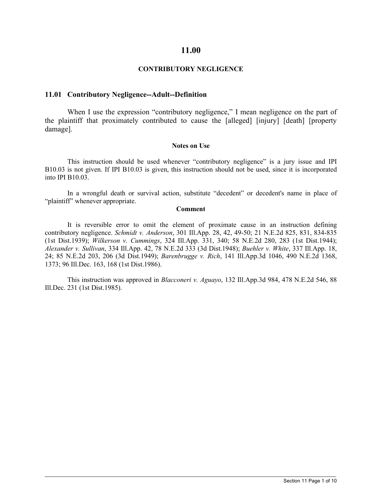### **11.00**

### **CONTRIBUTORY NEGLIGENCE**

#### **11.01 Contributory Negligence--Adult--Definition**

When I use the expression "contributory negligence," I mean negligence on the part of the plaintiff that proximately contributed to cause the [alleged] [injury] [death] [property damage].

#### **Notes on Use**

This instruction should be used whenever "contributory negligence" is a jury issue and IPI B10.03 is not given. If IPI B10.03 is given, this instruction should not be used, since it is incorporated into IPI B10.03.

In a wrongful death or survival action, substitute "decedent" or decedent's name in place of "plaintiff" whenever appropriate.

#### **Comment**

It is reversible error to omit the element of proximate cause in an instruction defining contributory negligence. *Schmidt v. Anderson*, 301 Ill.App. 28, 42, 49-50; 21 N.E.2d 825, 831, 834-835 (1st Dist.1939); *Wilkerson v. Cummings*, 324 Ill.App. 331, 340; 58 N.E.2d 280, 283 (1st Dist.1944); *Alexander v. Sullivan*, 334 Ill.App. 42, 78 N.E.2d 333 (3d Dist.1948); *Buehler v. White*, 337 Ill.App. 18, 24; 85 N.E.2d 203, 206 (3d Dist.1949); *Barenbrugge v. Rich*, 141 Ill.App.3d 1046, 490 N.E.2d 1368, 1373; 96 Ill.Dec. 163, 168 (1st Dist.1986).

This instruction was approved in *Blacconeri v. Aguayo*, 132 Ill.App.3d 984, 478 N.E.2d 546, 88 Ill.Dec. 231 (1st Dist.1985).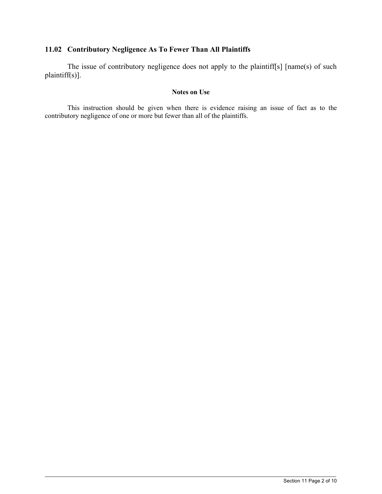# **11.02 Contributory Negligence As To Fewer Than All Plaintiffs**

The issue of contributory negligence does not apply to the plaintiff[s] [name(s) of such plaintiff(s)].

### **Notes on Use**

This instruction should be given when there is evidence raising an issue of fact as to the contributory negligence of one or more but fewer than all of the plaintiffs.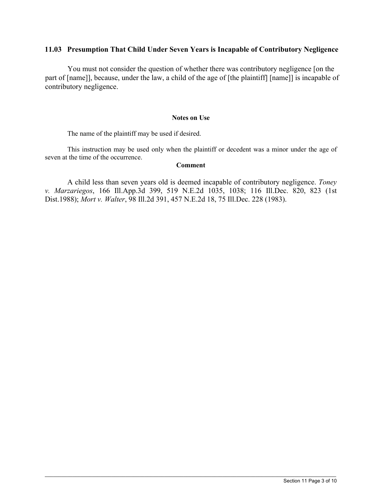# **11.03 Presumption That Child Under Seven Years is Incapable of Contributory Negligence**

 You must not consider the question of whether there was contributory negligence [on the part of [name]], because, under the law, a child of the age of [the plaintiff] [name]] is incapable of contributory negligence.

#### **Notes on Use**

The name of the plaintiff may be used if desired.

This instruction may be used only when the plaintiff or decedent was a minor under the age of seven at the time of the occurrence.

#### **Comment**

A child less than seven years old is deemed incapable of contributory negligence. *Toney v. Marzariegos*, 166 Ill.App.3d 399, 519 N.E.2d 1035, 1038; 116 Ill.Dec. 820, 823 (1st Dist.1988); *Mort v. Walter*, 98 Ill.2d 391, 457 N.E.2d 18, 75 Ill.Dec. 228 (1983).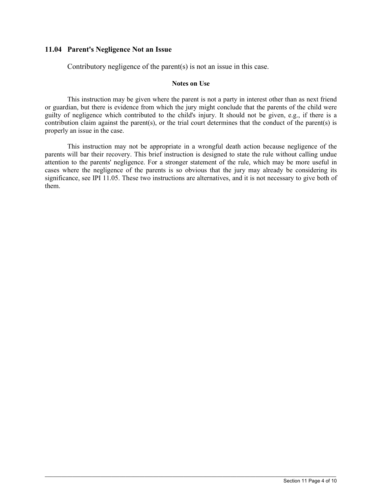### **11.04 Parent's Negligence Not an Issue**

Contributory negligence of the parent(s) is not an issue in this case.

#### **Notes on Use**

This instruction may be given where the parent is not a party in interest other than as next friend or guardian, but there is evidence from which the jury might conclude that the parents of the child were guilty of negligence which contributed to the child's injury. It should not be given, e.g., if there is a contribution claim against the parent(s), or the trial court determines that the conduct of the parent(s) is properly an issue in the case.

This instruction may not be appropriate in a wrongful death action because negligence of the parents will bar their recovery. This brief instruction is designed to state the rule without calling undue attention to the parents' negligence. For a stronger statement of the rule, which may be more useful in cases where the negligence of the parents is so obvious that the jury may already be considering its significance, see IPI 11.05. These two instructions are alternatives, and it is not necessary to give both of them.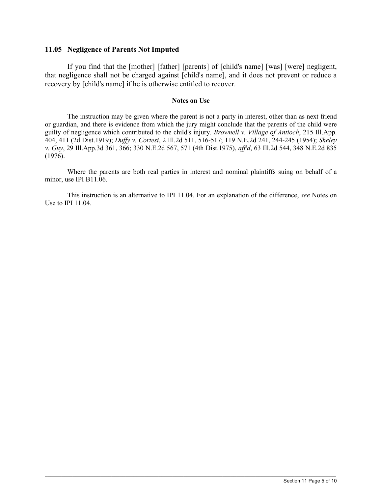### **11.05 Negligence of Parents Not Imputed**

If you find that the [mother] [father] [parents] of [child's name] [was] [were] negligent, that negligence shall not be charged against [child's name], and it does not prevent or reduce a recovery by [child's name] if he is otherwise entitled to recover.

#### **Notes on Use**

The instruction may be given where the parent is not a party in interest, other than as next friend or guardian, and there is evidence from which the jury might conclude that the parents of the child were guilty of negligence which contributed to the child's injury. *Brownell v. Village of Antioch*, 215 Ill.App. 404, 411 (2d Dist.1919); *Duffy v. Cortesi*, 2 Ill.2d 511, 516-517; 119 N.E.2d 241, 244-245 (1954); *Sheley v. Guy*, 29 Ill.App.3d 361, 366; 330 N.E.2d 567, 571 (4th Dist.1975), *aff'd*, 63 Ill.2d 544, 348 N.E.2d 835 (1976).

Where the parents are both real parties in interest and nominal plaintiffs suing on behalf of a minor, use IPI B11.06.

This instruction is an alternative to IPI 11.04. For an explanation of the difference, *see* Notes on Use to IPI 11.04.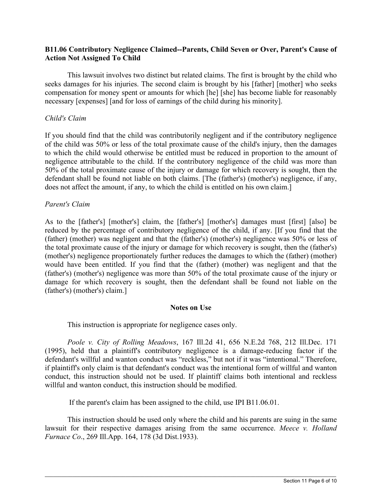# **B11.06 Contributory Negligence Claimed--Parents, Child Seven or Over, Parent's Cause of Action Not Assigned To Child**

 This lawsuit involves two distinct but related claims. The first is brought by the child who seeks damages for his injuries. The second claim is brought by his [father] [mother] who seeks compensation for money spent or amounts for which [he] [she] has become liable for reasonably necessary [expenses] [and for loss of earnings of the child during his minority].

# *Child's Claim*

If you should find that the child was contributorily negligent and if the contributory negligence of the child was 50% or less of the total proximate cause of the child's injury, then the damages to which the child would otherwise be entitled must be reduced in proportion to the amount of negligence attributable to the child. If the contributory negligence of the child was more than 50% of the total proximate cause of the injury or damage for which recovery is sought, then the defendant shall be found not liable on both claims. [The (father's) (mother's) negligence, if any, does not affect the amount, if any, to which the child is entitled on his own claim.]

# *Parent's Claim*

As to the [father's] [mother's] claim, the [father's] [mother's] damages must [first] [also] be reduced by the percentage of contributory negligence of the child, if any. [If you find that the (father) (mother) was negligent and that the (father's) (mother's) negligence was 50% or less of the total proximate cause of the injury or damage for which recovery is sought, then the (father's) (mother's) negligence proportionately further reduces the damages to which the (father) (mother) would have been entitled. If you find that the (father) (mother) was negligent and that the (father's) (mother's) negligence was more than 50% of the total proximate cause of the injury or damage for which recovery is sought, then the defendant shall be found not liable on the (father's) (mother's) claim.]

# **Notes on Use**

This instruction is appropriate for negligence cases only.

*Poole v. City of Rolling Meadows*, 167 Ill.2d 41, 656 N.E.2d 768, 212 Ill.Dec. 171 (1995), held that a plaintiff's contributory negligence is a damage-reducing factor if the defendant's willful and wanton conduct was "reckless," but not if it was "intentional." Therefore, if plaintiff's only claim is that defendant's conduct was the intentional form of willful and wanton conduct, this instruction should not be used. If plaintiff claims both intentional and reckless willful and wanton conduct, this instruction should be modified.

If the parent's claim has been assigned to the child, use IPI B11.06.01.

 This instruction should be used only where the child and his parents are suing in the same lawsuit for their respective damages arising from the same occurrence. *Meece v. Holland Furnace Co*., 269 Ill.App. 164, 178 (3d Dist.1933).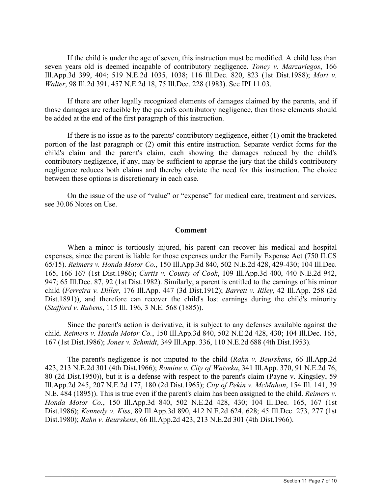If the child is under the age of seven, this instruction must be modified. A child less than seven years old is deemed incapable of contributory negligence. *Toney v. Marzariegos*, 166 Ill.App.3d 399, 404; 519 N.E.2d 1035, 1038; 116 Ill.Dec. 820, 823 (1st Dist.1988); *Mort v. Walter*, 98 Ill.2d 391, 457 N.E.2d 18, 75 Ill.Dec. 228 (1983). See IPI 11.03.

If there are other legally recognized elements of damages claimed by the parents, and if those damages are reducible by the parent's contributory negligence, then those elements should be added at the end of the first paragraph of this instruction.

If there is no issue as to the parents' contributory negligence, either (1) omit the bracketed portion of the last paragraph or (2) omit this entire instruction. Separate verdict forms for the child's claim and the parent's claim, each showing the damages reduced by the child's contributory negligence, if any, may be sufficient to apprise the jury that the child's contributory negligence reduces both claims and thereby obviate the need for this instruction. The choice between these options is discretionary in each case.

On the issue of the use of "value" or "expense" for medical care, treatment and services, see 30.06 Notes on Use.

### **Comment**

When a minor is tortiously injured, his parent can recover his medical and hospital expenses, since the parent is liable for those expenses under the Family Expense Act (750 ILCS 65/15). *Reimers v. Honda Motor Co.*, 150 Ill.App.3d 840, 502 N.E.2d 428, 429-430; 104 Ill.Dec. 165, 166-167 (1st Dist.1986); *Curtis v. County of Cook*, 109 Ill.App.3d 400, 440 N.E.2d 942, 947; 65 Ill.Dec. 87, 92 (1st Dist.1982). Similarly, a parent is entitled to the earnings of his minor child (*Ferreira v. Diller*, 176 Ill.App. 447 (3d Dist.1912); *Barrett v. Riley*, 42 Ill.App. 258 (2d Dist.1891)), and therefore can recover the child's lost earnings during the child's minority (*Stafford v. Rubens*, 115 Ill. 196, 3 N.E. 568 (1885)).

Since the parent's action is derivative, it is subject to any defenses available against the child. *Reimers v. Honda Motor Co.*, 150 Ill.App.3d 840, 502 N.E.2d 428, 430; 104 Ill.Dec. 165, 167 (1st Dist.1986); *Jones v. Schmidt*, 349 Ill.App. 336, 110 N.E.2d 688 (4th Dist.1953).

The parent's negligence is not imputed to the child (*Rahn v. Beurskens*, 66 Ill.App.2d 423, 213 N.E.2d 301 (4th Dist.1966); *Romine v. City of Watseka*, 341 Ill.App. 370, 91 N.E.2d 76, 80 (2d Dist.1950)), but it is a defense with respect to the parent's claim (Payne v. Kingsley, 59 Ill.App.2d 245, 207 N.E.2d 177, 180 (2d Dist.1965); *City of Pekin v. McMahon*, 154 Ill. 141, 39 N.E. 484 (1895)). This is true even if the parent's claim has been assigned to the child. *Reimers v. Honda Motor Co.*, 150 Ill.App.3d 840, 502 N.E.2d 428, 430; 104 Ill.Dec. 165, 167 (1st Dist.1986); *Kennedy v. Kiss*, 89 Ill.App.3d 890, 412 N.E.2d 624, 628; 45 Ill.Dec. 273, 277 (1st Dist.1980); *Rahn v. Beurskens*, 66 Ill.App.2d 423, 213 N.E.2d 301 (4th Dist.1966).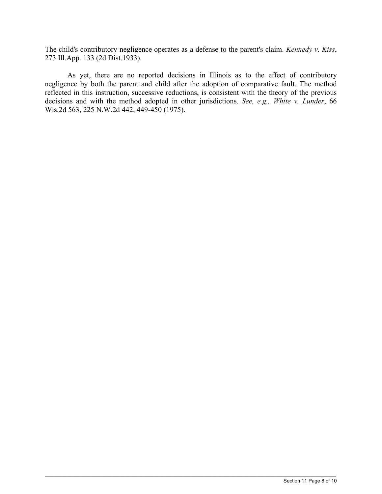The child's contributory negligence operates as a defense to the parent's claim. *Kennedy v. Kiss*, 273 Ill.App. 133 (2d Dist.1933).

As yet, there are no reported decisions in Illinois as to the effect of contributory negligence by both the parent and child after the adoption of comparative fault. The method reflected in this instruction, successive reductions, is consistent with the theory of the previous decisions and with the method adopted in other jurisdictions. *See, e.g., White v. Lunder*, 66 Wis.2d 563, 225 N.W.2d 442, 449-450 (1975).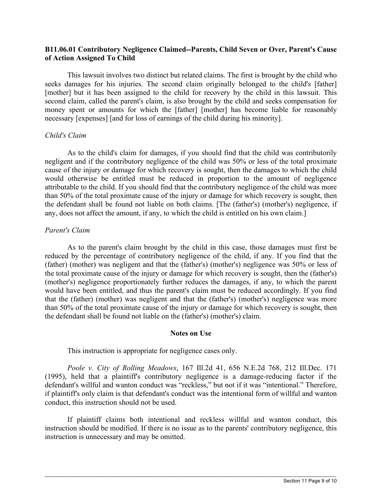# **B11.06.01 Contributory Negligence Claimed--Parents, Child Seven or Over, Parent's Cause of Action Assigned To Child**

 This lawsuit involves two distinct but related claims. The first is brought by the child who seeks damages for his injuries. The second claim originally belonged to the child's [father] [mother] but it has been assigned to the child for recovery by the child in this lawsuit. This second claim, called the parent's claim, is also brought by the child and seeks compensation for money spent or amounts for which the [father] [mother] has become liable for reasonably necessary [expenses] [and for loss of earnings of the child during his minority].

# *Child's Claim*

As to the child's claim for damages, if you should find that the child was contributorily negligent and if the contributory negligence of the child was 50% or less of the total proximate cause of the injury or damage for which recovery is sought, then the damages to which the child would otherwise be entitled must be reduced in proportion to the amount of negligence attributable to the child. If you should find that the contributory negligence of the child was more than 50% of the total proximate cause of the injury or damage for which recovery is sought, then the defendant shall be found not liable on both claims. [The (father's) (mother's) negligence, if any, does not affect the amount, if any, to which the child is entitled on his own claim.]

# *Parent's Claim*

As to the parent's claim brought by the child in this case, those damages must first be reduced by the percentage of contributory negligence of the child, if any. If you find that the (father) (mother) was negligent and that the (father's) (mother's) negligence was 50% or less of the total proximate cause of the injury or damage for which recovery is sought, then the (father's) (mother's) negligence proportionately further reduces the damages, if any, to which the parent would have been entitled, and thus the parent's claim must be reduced accordingly. If you find that the (father) (mother) was negligent and that the (father's) (mother's) negligence was more than 50% of the total proximate cause of the injury or damage for which recovery is sought, then the defendant shall be found not liable on the (father's) (mother's) claim.

# **Notes on Use**

This instruction is appropriate for negligence cases only.

*Poole v. City of Rolling Meadows*, 167 Ill.2d 41, 656 N.E.2d 768, 212 Ill.Dec. 171 (1995), held that a plaintiff's contributory negligence is a damage-reducing factor if the defendant's willful and wanton conduct was "reckless," but not if it was "intentional." Therefore, if plaintiff's only claim is that defendant's conduct was the intentional form of willful and wanton conduct, this instruction should not be used.

If plaintiff claims both intentional and reckless willful and wanton conduct, this instruction should be modified. If there is no issue as to the parents' contributory negligence, this instruction is unnecessary and may be omitted.